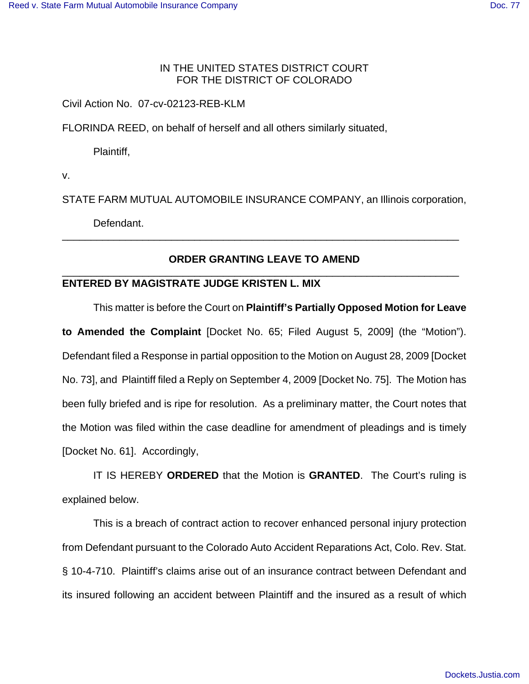## IN THE UNITED STATES DISTRICT COURT FOR THE DISTRICT OF COLORADO

Civil Action No. 07-cv-02123-REB-KLM

FLORINDA REED, on behalf of herself and all others similarly situated,

Plaintiff,

v.

STATE FARM MUTUAL AUTOMOBILE INSURANCE COMPANY, an Illinois corporation,

Defendant.

## **ORDER GRANTING LEAVE TO AMEND** \_\_\_\_\_\_\_\_\_\_\_\_\_\_\_\_\_\_\_\_\_\_\_\_\_\_\_\_\_\_\_\_\_\_\_\_\_\_\_\_\_\_\_\_\_\_\_\_\_\_\_\_\_\_\_\_\_\_\_\_\_\_\_\_\_\_\_\_\_

\_\_\_\_\_\_\_\_\_\_\_\_\_\_\_\_\_\_\_\_\_\_\_\_\_\_\_\_\_\_\_\_\_\_\_\_\_\_\_\_\_\_\_\_\_\_\_\_\_\_\_\_\_\_\_\_\_\_\_\_\_\_\_\_\_\_\_\_\_

## **ENTERED BY MAGISTRATE JUDGE KRISTEN L. MIX**

This matter is before the Court on **Plaintiff's Partially Opposed Motion for Leave**

**to Amended the Complaint** [Docket No. 65; Filed August 5, 2009] (the "Motion"). Defendant filed a Response in partial opposition to the Motion on August 28, 2009 [Docket No. 73], and Plaintiff filed a Reply on September 4, 2009 [Docket No. 75]. The Motion has been fully briefed and is ripe for resolution. As a preliminary matter, the Court notes that the Motion was filed within the case deadline for amendment of pleadings and is timely [Docket No. 61]. Accordingly,

IT IS HEREBY **ORDERED** that the Motion is **GRANTED**. The Court's ruling is explained below.

This is a breach of contract action to recover enhanced personal injury protection from Defendant pursuant to the Colorado Auto Accident Reparations Act, Colo. Rev. Stat. § 10-4-710. Plaintiff's claims arise out of an insurance contract between Defendant and its insured following an accident between Plaintiff and the insured as a result of which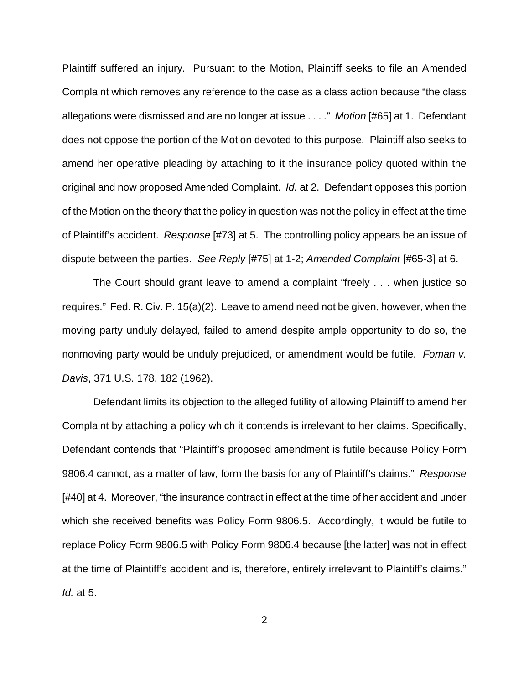Plaintiff suffered an injury. Pursuant to the Motion, Plaintiff seeks to file an Amended Complaint which removes any reference to the case as a class action because "the class allegations were dismissed and are no longer at issue . . . ." *Motion* [#65] at 1. Defendant does not oppose the portion of the Motion devoted to this purpose. Plaintiff also seeks to amend her operative pleading by attaching to it the insurance policy quoted within the original and now proposed Amended Complaint. *Id.* at 2. Defendant opposes this portion of the Motion on the theory that the policy in question was not the policy in effect at the time of Plaintiff's accident. *Response* [#73] at 5. The controlling policy appears be an issue of dispute between the parties. *See Reply* [#75] at 1-2; *Amended Complaint* [#65-3] at 6.

The Court should grant leave to amend a complaint "freely . . . when justice so requires." Fed. R. Civ. P. 15(a)(2). Leave to amend need not be given, however, when the moving party unduly delayed, failed to amend despite ample opportunity to do so, the nonmoving party would be unduly prejudiced, or amendment would be futile. *Foman v. Davis*, 371 U.S. 178, 182 (1962).

Defendant limits its objection to the alleged futility of allowing Plaintiff to amend her Complaint by attaching a policy which it contends is irrelevant to her claims. Specifically, Defendant contends that "Plaintiff's proposed amendment is futile because Policy Form 9806.4 cannot, as a matter of law, form the basis for any of Plaintiff's claims." *Response* [#40] at 4. Moreover, "the insurance contract in effect at the time of her accident and under which she received benefits was Policy Form 9806.5. Accordingly, it would be futile to replace Policy Form 9806.5 with Policy Form 9806.4 because [the latter] was not in effect at the time of Plaintiff's accident and is, therefore, entirely irrelevant to Plaintiff's claims." *Id.* at 5.

2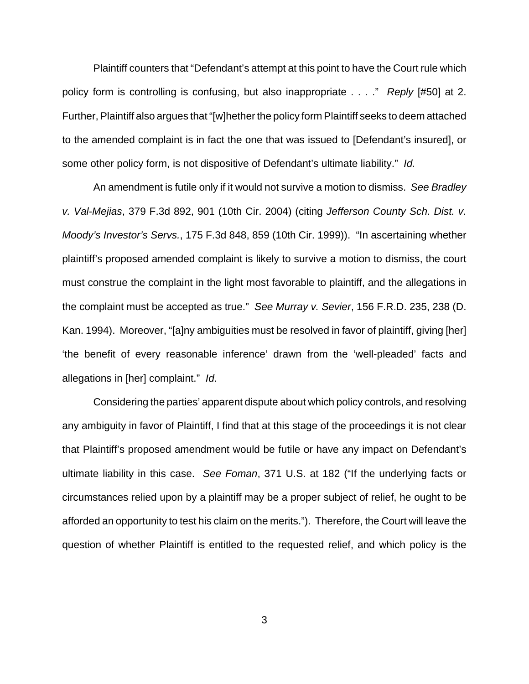Plaintiff counters that "Defendant's attempt at this point to have the Court rule which policy form is controlling is confusing, but also inappropriate . . . ." *Reply* [#50] at 2. Further, Plaintiff also argues that "[w]hether the policy form Plaintiff seeks to deem attached to the amended complaint is in fact the one that was issued to [Defendant's insured], or some other policy form, is not dispositive of Defendant's ultimate liability." *Id.*

An amendment is futile only if it would not survive a motion to dismiss. *See Bradley v. Val-Mejias*, 379 F.3d 892, 901 (10th Cir. 2004) (citing *Jefferson County Sch. Dist. v. Moody's Investor's Servs.*, 175 F.3d 848, 859 (10th Cir. 1999)). "In ascertaining whether plaintiff's proposed amended complaint is likely to survive a motion to dismiss, the court must construe the complaint in the light most favorable to plaintiff, and the allegations in the complaint must be accepted as true." *See Murray v. Sevier*, 156 F.R.D. 235, 238 (D. Kan. 1994). Moreover, "[a]ny ambiguities must be resolved in favor of plaintiff, giving [her] 'the benefit of every reasonable inference' drawn from the 'well-pleaded' facts and allegations in [her] complaint." *Id*.

Considering the parties' apparent dispute about which policy controls, and resolving any ambiguity in favor of Plaintiff, I find that at this stage of the proceedings it is not clear that Plaintiff's proposed amendment would be futile or have any impact on Defendant's ultimate liability in this case. *See Foman*, 371 U.S. at 182 ("If the underlying facts or circumstances relied upon by a plaintiff may be a proper subject of relief, he ought to be afforded an opportunity to test his claim on the merits."). Therefore, the Court will leave the question of whether Plaintiff is entitled to the requested relief, and which policy is the

3